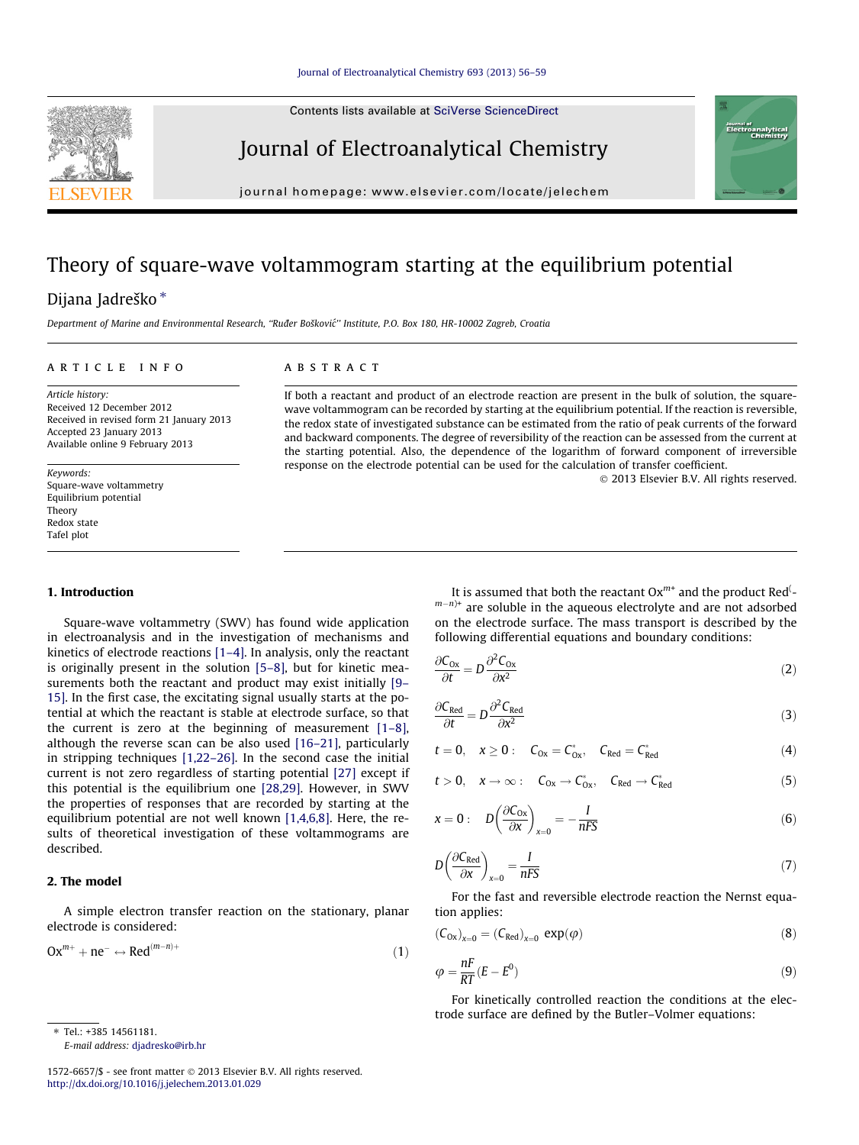Contents lists available at [SciVerse ScienceDirect](http://www.sciencedirect.com/science/journal/15726657)

<span id="page-0-0"></span>

Journal of Electroanalytical Chemistry

journal homepage: [www.elsevier.com/locate/jelechem](http://www.elsevier.com/locate/jelechem)

# Theory of square-wave voltammogram starting at the equilibrium potential

## Dijana Jadreško\*

Department of Marine and Environmental Research, "Ruđer Bošković" Institute, P.O. Box 180, HR-10002 Zagreb, Croatia

## article info

Article history: Received 12 December 2012 Received in revised form 21 January 2013 Accepted 23 January 2013 Available online 9 February 2013

Keywords: Square-wave voltammetry Equilibrium potential Theory Redox state Tafel plot

## 1. Introduction

Square-wave voltammetry (SWV) has found wide application in electroanalysis and in the investigation of mechanisms and kinetics of electrode reactions [\[1–4\]](#page-3-0). In analysis, only the reactant is originally present in the solution [\[5–8\],](#page-3-0) but for kinetic measurements both the reactant and product may exist initially [\[9–](#page-3-0) [15\]](#page-3-0). In the first case, the excitating signal usually starts at the potential at which the reactant is stable at electrode surface, so that the current is zero at the beginning of measurement [\[1–8\],](#page-3-0) although the reverse scan can be also used [\[16–21\],](#page-3-0) particularly in stripping techniques [\[1,22–26\].](#page-3-0) In the second case the initial current is not zero regardless of starting potential [\[27\]](#page-3-0) except if this potential is the equilibrium one [\[28,29\]](#page-3-0). However, in SWV the properties of responses that are recorded by starting at the equilibrium potential are not well known [\[1,4,6,8\].](#page-3-0) Here, the results of theoretical investigation of these voltammograms are described.

### 2. The model

A simple electron transfer reaction on the stationary, planar electrode is considered:

$$
Ox^{m+} + ne^- \leftrightarrow Red^{(m-n)+}
$$
 (1)

 $*$  Tel: +385 14561181. E-mail address: [djadresko@irb.hr](mailto:djadresko@irb.hr)

#### 1572-6657/\$ - see front matter © 2013 Elsevier B.V. All rights reserved. <http://dx.doi.org/10.1016/j.jelechem.2013.01.029>

#### **ABSTRACT**

If both a reactant and product of an electrode reaction are present in the bulk of solution, the squarewave voltammogram can be recorded by starting at the equilibrium potential. If the reaction is reversible, the redox state of investigated substance can be estimated from the ratio of peak currents of the forward and backward components. The degree of reversibility of the reaction can be assessed from the current at the starting potential. Also, the dependence of the logarithm of forward component of irreversible response on the electrode potential can be used for the calculation of transfer coefficient.

- 2013 Elsevier B.V. All rights reserved.

It is assumed that both the reactant  $Ox^{m+}$  and the product Red<sup>(</sup>- $(m-n)^+$  are soluble in the aqueous electrolyte and are not adsorbed on the electrode surface. The mass transport is described by the following differential equations and boundary conditions:

$$
\frac{\partial C_{0x}}{\partial t} = D \frac{\partial^2 C_{0x}}{\partial x^2} \tag{2}
$$

$$
\frac{\partial C_{\text{Red}}}{\partial t} = D \frac{\partial^2 C_{\text{Red}}}{\partial x^2}
$$
 (3)

$$
t=0, \quad x\geq 0: \quad C_{0x}=C^*_{0x}, \quad C_{Red}=C^*_{Red} \qquad \qquad (4)
$$

$$
t>0, \quad x\to\infty: \quad C_{0x}\to C^*_{0x}, \quad C_{Red}\to C^*_{Red} \qquad \qquad (5)
$$

$$
x = 0: \quad D\left(\frac{\partial C_{0x}}{\partial x}\right)_{x=0} = -\frac{I}{nFS}
$$
\n<sup>(6)</sup>

$$
D\left(\frac{\partial C_{\text{Red}}}{\partial x}\right)_{x=0} = \frac{I}{nFS}
$$
 (7)

For the fast and reversible electrode reaction the Nernst equation applies:

$$
(\mathcal{C}_{Ox})_{x=0} = (\mathcal{C}_{Red})_{x=0} \exp(\varphi)
$$
 (8)

$$
\varphi = \frac{nF}{RT}(E - E^0) \tag{9}
$$

For kinetically controlled reaction the conditions at the electrode surface are defined by the Butler–Volmer equations: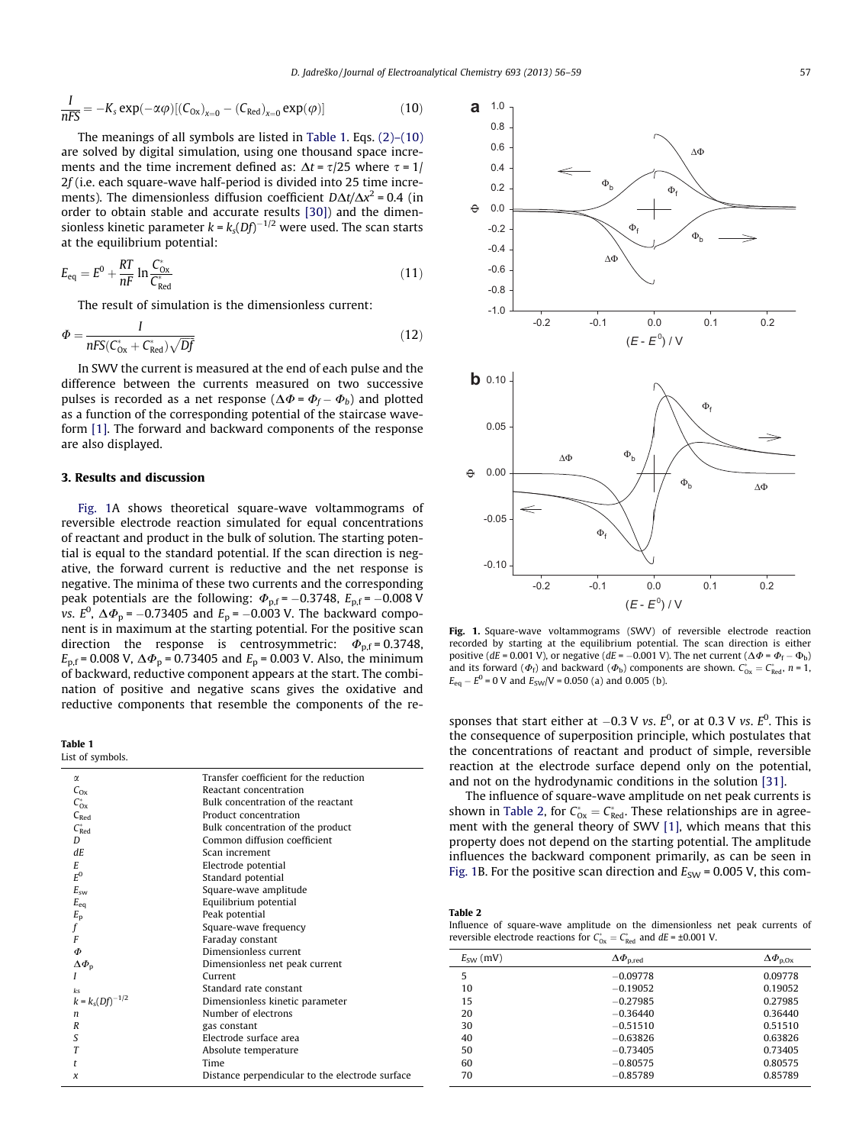<span id="page-1-0"></span>
$$
\frac{I}{nFS} = -K_s \exp(-\alpha \varphi) [ (C_{0x})_{x=0} - (C_{Red})_{x=0} \exp(\varphi) ]
$$
 (10)

The meanings of all symbols are listed in Table 1. Eqs. [\(2\)–\(10\)](#page-0-0) are solved by digital simulation, using one thousand space increments and the time increment defined as:  $\Delta t = \tau/25$  where  $\tau = 1/25$ 2f (i.e. each square-wave half-period is divided into 25 time increments). The dimensionless diffusion coefficient  $D\Delta t/\Delta x^2$  = 0.4 (in order to obtain stable and accurate results [\[30\]\)](#page-3-0) and the dimensionless kinetic parameter  $k$  =  $k_s(Df)^{-1/2}$  were used. The scan starts at the equilibrium potential:

$$
E_{\text{eq}} = E^0 + \frac{RT}{nF} \ln \frac{C_{0x}^*}{C_{\text{Red}}^*} \tag{11}
$$

The result of simulation is the dimensionless current:

$$
\Phi = \frac{I}{nFS(C_{0x}^* + C_{\text{Red}}^*)\sqrt{Df}}
$$
\n(12)

In SWV the current is measured at the end of each pulse and the difference between the currents measured on two successive pulses is recorded as a net response ( $\Delta \Phi$  =  $\Phi_f - \Phi_b$ ) and plotted as a function of the corresponding potential of the staircase waveform [\[1\]](#page-3-0). The forward and backward components of the response are also displayed.

## 3. Results and discussion

Fig. 1A shows theoretical square-wave voltammograms of reversible electrode reaction simulated for equal concentrations of reactant and product in the bulk of solution. The starting potential is equal to the standard potential. If the scan direction is negative, the forward current is reductive and the net response is negative. The minima of these two currents and the corresponding peak potentials are the following:  $\Phi_{\text{p,f}}$  = -0.3748,  $E_{\text{p,f}}$  = -0.008 V vs.  $E^0$ ,  $\Delta \Phi_p$  = -0.73405 and  $E_p$  = -0.003 V. The backward component is in maximum at the starting potential. For the positive scan direction the response is centrosymmetric:  $\Phi_{\text{nf}} = 0.3748$ ,  $E_{p,f}$  = 0.008 V,  $\Delta \Phi_p$  = 0.73405 and  $E_p$  = 0.003 V. Also, the minimum of backward, reductive component appears at the start. The combination of positive and negative scans gives the oxidative and reductive components that resemble the components of the re-

Table 1 List of symbols.

| ым от зунноот».       |                                                 |
|-----------------------|-------------------------------------------------|
| α                     | Transfer coefficient for the reduction          |
| $C_{Ox}$              | Reactant concentration                          |
| $C_{0x}^*$            | Bulk concentration of the reactant              |
| $C_{\text{Red}}$      | Product concentration                           |
| $C_{\text{Red}}^*$    | Bulk concentration of the product               |
| D                     | Common diffusion coefficient                    |
| dE.                   | Scan increment                                  |
| E                     | Electrode potential                             |
| $E^0$                 | Standard potential                              |
| $E_{\text{cav}}$      | Square-wave amplitude                           |
| $E_{eq}$              | Equilibrium potential                           |
|                       | Peak potential                                  |
| $E_{\rm p}$ f         | Square-wave frequency                           |
| F                     | Faraday constant                                |
| Ф                     | Dimensionless current                           |
| $\Delta \Phi_{\rm p}$ | Dimensionless net peak current                  |
| I                     | Current                                         |
| ks                    | Standard rate constant                          |
| $k = k_s (Df)^{-1/2}$ | Dimensionless kinetic parameter                 |
| n                     | Number of electrons                             |
| R                     | gas constant                                    |
| S                     | Electrode surface area                          |
| Т                     | Absolute temperature                            |
| t                     | Time                                            |
| x                     | Distance perpendicular to the electrode surface |
|                       |                                                 |



Fig. 1. Square-wave voltammograms (SWV) of reversible electrode reaction recorded by starting at the equilibrium potential. The scan direction is either positive (dE = 0.001 V), or negative (dE = -0.001 V). The net current ( $\Delta \Phi = \Phi_f - \Phi_b$ ) and its forward  $(\Phi_f)$  and backward  $(\Phi_b)$  components are shown.  $C_{0x}^* = C_{Red}^*$ ,  $n = 1$ ,  $E_{\text{eq}} - E^0 = 0$  V and  $E_{\text{SW}}/V = 0.050$  (a) and 0.005 (b).

sponses that start either at  $-0.3$  V vs.  $E^0$ , or at 0.3 V vs.  $E^0$ . This is the consequence of superposition principle, which postulates that the concentrations of reactant and product of simple, reversible reaction at the electrode surface depend only on the potential, and not on the hydrodynamic conditions in the solution [\[31\].](#page-3-0)

The influence of square-wave amplitude on net peak currents is shown in Table 2, for  $C_{0x}^* = C_{Red}^*$ . These relationships are in agree-ment with the general theory of SWV [\[1\]](#page-3-0), which means that this property does not depend on the starting potential. The amplitude influences the backward component primarily, as can be seen in Fig. 1B. For the positive scan direction and  $E_{SW}$  = 0.005 V, this com-

Table 2

Influence of square-wave amplitude on the dimensionless net peak currents of reversible electrode reactions for  $C_{0x}^* = C_{Red}^*$  and  $dE = \pm 0.001$  V.

| $E_{SW}$ (mV) | $\Delta \varPhi_{\rm p,red}$ | $\Delta\Phi_{\rm p, Ox}$ |
|---------------|------------------------------|--------------------------|
| 5             | $-0.09778$                   | 0.09778                  |
| 10            | $-0.19052$                   | 0.19052                  |
| 15            | $-0.27985$                   | 0.27985                  |
| 20            | $-0.36440$                   | 0.36440                  |
| 30            | $-0.51510$                   | 0.51510                  |
| 40            | $-0.63826$                   | 0.63826                  |
| 50            | $-0.73405$                   | 0.73405                  |
| 60            | $-0.80575$                   | 0.80575                  |
| 70            | $-0.85789$                   | 0.85789                  |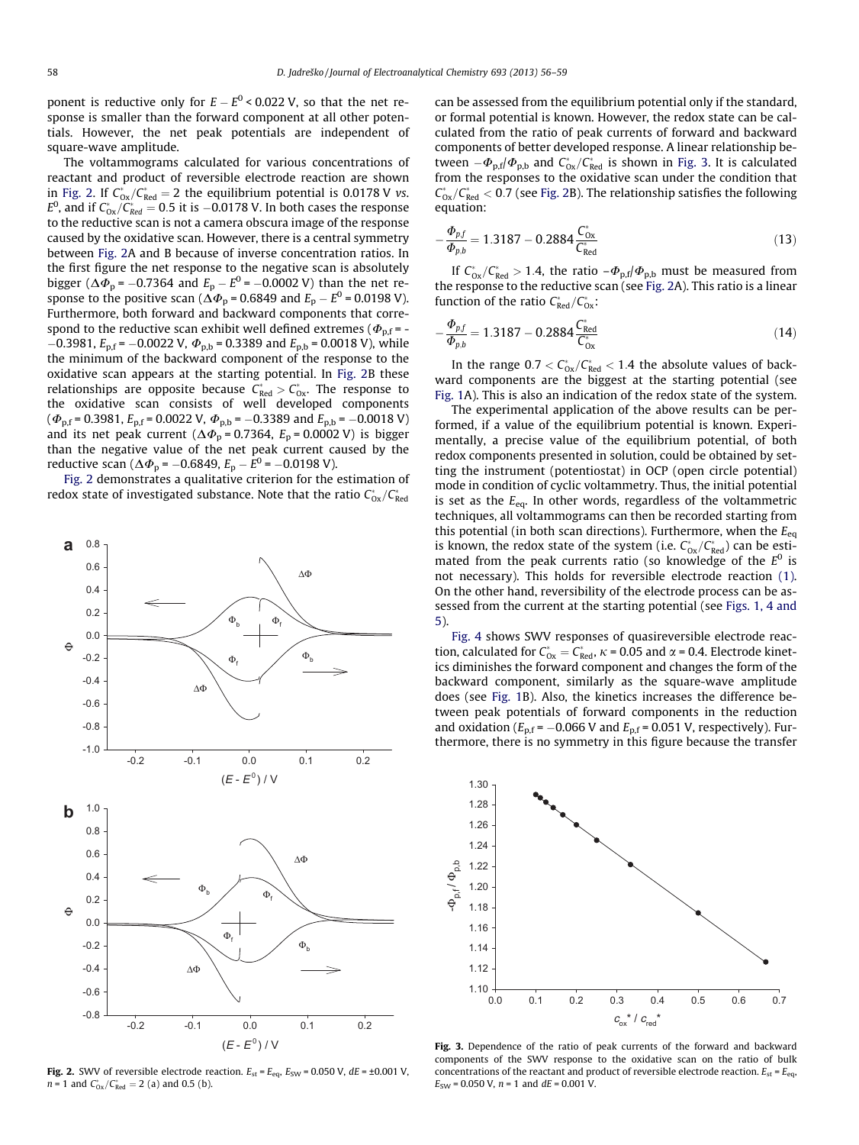ponent is reductive only for  $E-E^0$  < 0.022 V, so that the net response is smaller than the forward component at all other potentials. However, the net peak potentials are independent of square-wave amplitude.

The voltammograms calculated for various concentrations of reactant and product of reversible electrode reaction are shown in Fig. 2. If  $C_{ox}^*/C_{Red}^* = 2$  the equilibrium potential is 0.0178 V vs.  $E^0$ , and if  $C^*_{\rm Ox}/C^*_{\rm Red}=$  0.5 it is  $-0.0178$  V. In both cases the response to the reductive scan is not a camera obscura image of the response caused by the oxidative scan. However, there is a central symmetry between Fig. 2A and B because of inverse concentration ratios. In the first figure the net response to the negative scan is absolutely bigger ( $\Delta\varPhi_{\rm p}$  = –0.7364 and  $E_{\rm p}-E^0$  = –0.0002 V) than the net response to the positive scan ( $\Delta \varPhi_{\rm p}$  = 0.6849 and  $E_{\rm p}$  –  $E^{\rm 0}$  = 0.0198 V). Furthermore, both forward and backward components that correspond to the reductive scan exhibit well defined extremes ( $\Phi_{p,f}$  = - $-0.3981$ ,  $E_{\text{p,f}}$  =  $-0.0022$  V,  $\Phi_{\text{p,b}}$  = 0.3389 and  $E_{\text{p,b}}$  = 0.0018 V), while the minimum of the backward component of the response to the oxidative scan appears at the starting potential. In Fig. 2B these relationships are opposite because  $C^*_{\text{Red}} > C^*_{\text{Ox}}$ . The response to the oxidative scan consists of well developed components  $(\Phi_{\rm p,f}$  = 0.3981,  $E_{\rm p,f}$  = 0.0022 V,  $\Phi_{\rm p,b}$  = -0.3389 and  $E_{\rm p,b}$  = -0.0018 V) and its net peak current ( $\Delta \Phi$ <sub>p</sub> = 0.7364,  $E$ <sub>p</sub> = 0.0002 V) is bigger than the negative value of the net peak current caused by the reductive scan ( $\Delta \varPhi_{\rm p}$  =  $-0.6849$ ,  $E_{\rm p}$  –  $E^{\rm 0}$  =  $-0.0198$  V).

Fig. 2 demonstrates a qualitative criterion for the estimation of redox state of investigated substance. Note that the ratio  $\mathcal{C}^*_{\mathsf{Ox}}/\mathcal{C}^*_{\mathsf{Red}}$ 



Fig. 2. SWV of reversible electrode reaction.  $E_{\text{st}} = E_{\text{eq}}$ ,  $E_{\text{SW}} = 0.050$  V,  $dE = \pm 0.001$  V,  $n = 1$  and  $C^*_{0x}/C^*_{Red} = 2$  (a) and 0.5 (b).

can be assessed from the equilibrium potential only if the standard, or formal potential is known. However, the redox state can be calculated from the ratio of peak currents of forward and backward components of better developed response. A linear relationship between  $-\Phi_{\rm p,f}/\Phi_{\rm p,b}$  and  $C^*_{\rm 0x}/C^*_{\rm Red}$  is shown in Fig. 3. It is calculated from the responses to the oxidative scan under the condition that  $C_{\rm 0x}^*/C_{\rm Red}^* <$  0.7 (see Fig. 2B). The relationship satisfies the following equation:

$$
-\frac{\Phi_{pf}}{\Phi_{p,b}} = 1.3187 - 0.2884 \frac{C_{0x}^*}{C_{\text{Red}}^*}
$$
\n(13)

If  $C_{0x}^*/C_{\text{Red}}^* > 1.4$ , the ratio  $-\Phi_{p,f}/\Phi_{p,b}$  must be measured from the response to the reductive scan (see Fig. 2A). This ratio is a linear function of the ratio  $C^*_{\text{Red}}/C^*_{\text{Ox}}$ :

$$
-\frac{\Phi_{p,f}}{\Phi_{p,b}} = 1.3187 - 0.2884 \frac{C_{\text{Red}}^*}{C_{\text{Ox}}^*} \tag{14}
$$

In the range  $0.7 < C_{\text{Ox}}^*/C_{\text{Red}}^* < 1.4$  the absolute values of backward components are the biggest at the starting potential (see [Fig. 1A](#page-1-0)). This is also an indication of the redox state of the system.

The experimental application of the above results can be performed, if a value of the equilibrium potential is known. Experimentally, a precise value of the equilibrium potential, of both redox components presented in solution, could be obtained by setting the instrument (potentiostat) in OCP (open circle potential) mode in condition of cyclic voltammetry. Thus, the initial potential is set as the  $E_{eq}$ . In other words, regardless of the voltammetric techniques, all voltammograms can then be recorded starting from this potential (in both scan directions). Furthermore, when the  $E_{eq}$ is known, the redox state of the system (i.e.  $C_{\text{Ox}}^*/C_{\text{Red}}^*$ ) can be estimated from the peak currents ratio (so knowledge of the  $E^0$  is not necessary). This holds for reversible electrode reaction [\(1\).](#page-0-0) On the other hand, reversibility of the electrode process can be assessed from the current at the starting potential (see [Figs. 1, 4 and](#page-1-0) [5](#page-1-0)).

[Fig. 4](#page-3-0) shows SWV responses of quasireversible electrode reaction, calculated for  $C_{ox}^* = C_{Red}^*$ ,  $\kappa$  = 0.05 and  $\alpha$  = 0.4. Electrode kinetics diminishes the forward component and changes the form of the backward component, similarly as the square-wave amplitude does (see [Fig. 1](#page-1-0)B). Also, the kinetics increases the difference between peak potentials of forward components in the reduction and oxidation ( $E_{p,f}$  = -0.066 V and  $E_{p,f}$  = 0.051 V, respectively). Furthermore, there is no symmetry in this figure because the transfer



Fig. 3. Dependence of the ratio of peak currents of the forward and backward components of the SWV response to the oxidative scan on the ratio of bulk concentrations of the reactant and product of reversible electrode reaction.  $E_{\text{st}} = E_{\text{eq}}$ ,  $E_{SW}$  = 0.050 V,  $n = 1$  and  $dE = 0.001$  V.